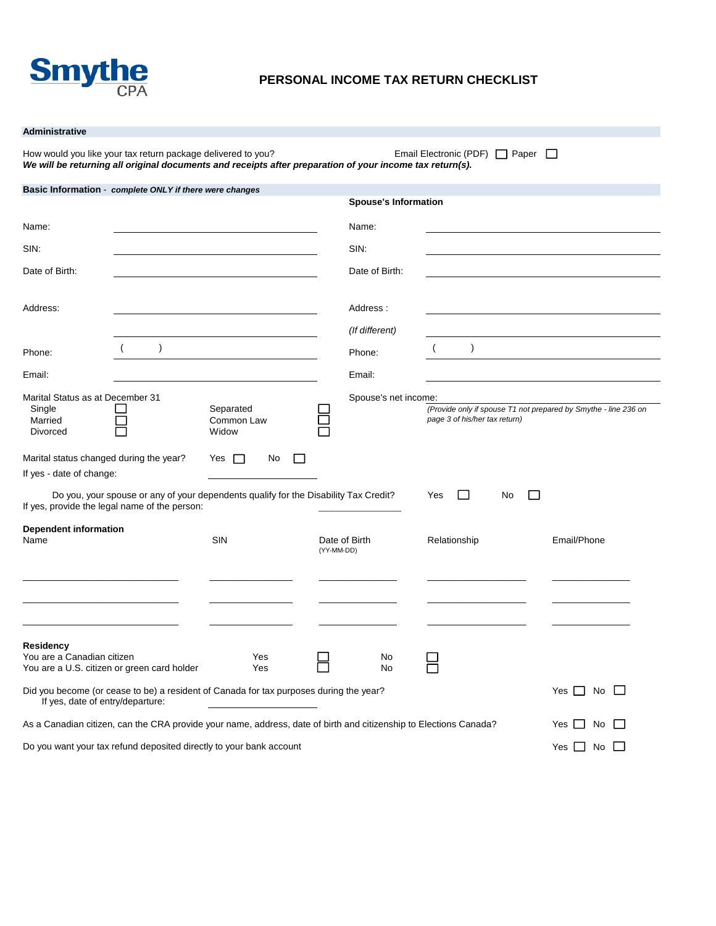

### **PERSONAL INCOME TAX RETURN CHECKLIST**

### **Administrative**

How would you like your tax return package delivered to you?<br>
Email Electronic (PDF) Paper D *We will be returning all original documents and receipts after preparation of your income tax return(s).*

| Basic Information - complete ONLY if there were changes                                                                               |                                  |            |                             |                                                                                                  |                  |
|---------------------------------------------------------------------------------------------------------------------------------------|----------------------------------|------------|-----------------------------|--------------------------------------------------------------------------------------------------|------------------|
|                                                                                                                                       |                                  |            | <b>Spouse's Information</b> |                                                                                                  |                  |
| Name:                                                                                                                                 |                                  |            | Name:                       |                                                                                                  |                  |
| SIN:                                                                                                                                  |                                  |            | SIN:                        |                                                                                                  |                  |
| Date of Birth:                                                                                                                        |                                  |            | Date of Birth:              |                                                                                                  |                  |
| Address:                                                                                                                              |                                  |            | Address:                    |                                                                                                  |                  |
|                                                                                                                                       |                                  |            | (If different)              |                                                                                                  |                  |
| $\lambda$<br>Phone:                                                                                                                   |                                  |            | Phone:                      | $\lambda$                                                                                        |                  |
| Email:                                                                                                                                |                                  |            | Email:                      |                                                                                                  |                  |
| Marital Status as at December 31<br>Single<br>Married<br><b>Divorced</b>                                                              | Separated<br>Common Law<br>Widow |            | Spouse's net income:        | (Provide only if spouse T1 not prepared by Smythe - line 236 on<br>page 3 of his/her tax return) |                  |
| Marital status changed during the year?<br>If yes - date of change:                                                                   | No<br>Yes $\Box$                 |            |                             |                                                                                                  |                  |
| Do you, your spouse or any of your dependents qualify for the Disability Tax Credit?<br>If yes, provide the legal name of the person: |                                  |            |                             | $\mathbf{1}$<br>Yes<br>No<br>L.                                                                  |                  |
| <b>Dependent information</b><br>Name                                                                                                  | <b>SIN</b>                       | (YY-MM-DD) | Date of Birth               | Relationship                                                                                     | Email/Phone      |
|                                                                                                                                       |                                  |            |                             |                                                                                                  |                  |
| Residency<br>You are a Canadian citizen<br>You are a U.S. citizen or green card holder                                                | Yes<br>Yes                       |            | No<br>No                    |                                                                                                  |                  |
| Did you become (or cease to be) a resident of Canada for tax purposes during the year?<br>If yes, date of entry/departure:            |                                  |            |                             |                                                                                                  | Yes $\Box$<br>No |
| As a Canadian citizen, can the CRA provide your name, address, date of birth and citizenship to Elections Canada?                     |                                  |            |                             |                                                                                                  | No<br>Yes I      |
| Do you want your tax refund deposited directly to your bank account                                                                   |                                  |            |                             |                                                                                                  | Yes [<br>No      |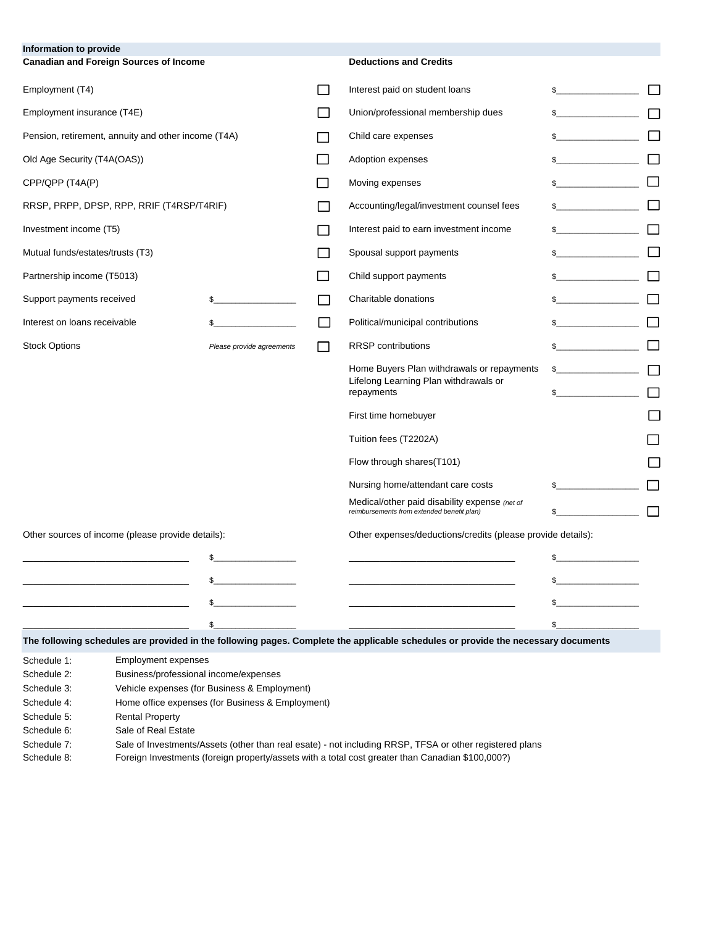| Information to provide<br><b>Canadian and Foreign Sources of Income</b> |                                       | <b>Deductions and Credits</b>                                                                                                     |                                           |  |
|-------------------------------------------------------------------------|---------------------------------------|-----------------------------------------------------------------------------------------------------------------------------------|-------------------------------------------|--|
| Employment (T4)                                                         |                                       | Interest paid on student loans                                                                                                    | $\sim$                                    |  |
| Employment insurance (T4E)                                              |                                       | Union/professional membership dues                                                                                                | $\mathbb{S}$                              |  |
| Pension, retirement, annuity and other income (T4A)                     |                                       | Child care expenses                                                                                                               |                                           |  |
| Old Age Security (T4A(OAS))                                             |                                       | Adoption expenses                                                                                                                 | $\frac{1}{2}$                             |  |
| CPP/QPP (T4A(P)                                                         |                                       | Moving expenses                                                                                                                   | $\mathbb{S}$                              |  |
| RRSP, PRPP, DPSP, RPP, RRIF (T4RSP/T4RIF)                               |                                       | Accounting/legal/investment counsel fees                                                                                          |                                           |  |
| Investment income (T5)                                                  |                                       | Interest paid to earn investment income                                                                                           | $\sim$ $\sim$ $\sim$ $\sim$ $\sim$ $\sim$ |  |
| Mutual funds/estates/trusts (T3)                                        |                                       | Spousal support payments                                                                                                          | $\frac{1}{2}$                             |  |
| Partnership income (T5013)                                              |                                       | Child support payments                                                                                                            |                                           |  |
| Support payments received                                               |                                       | Charitable donations                                                                                                              | $\sim$                                    |  |
| Interest on loans receivable                                            |                                       | Political/municipal contributions                                                                                                 | $\frac{1}{2}$                             |  |
| <b>Stock Options</b>                                                    | Please provide agreements             | <b>RRSP</b> contributions                                                                                                         | <u> 1999 - Jan Jan Jawa</u>               |  |
|                                                                         |                                       | Home Buyers Plan withdrawals or repayments                                                                                        | $\mathbb{S}$                              |  |
|                                                                         |                                       | Lifelong Learning Plan withdrawals or<br>repayments                                                                               |                                           |  |
|                                                                         |                                       | First time homebuyer                                                                                                              |                                           |  |
|                                                                         |                                       | Tuition fees (T2202A)                                                                                                             |                                           |  |
|                                                                         |                                       | Flow through shares(T101)                                                                                                         |                                           |  |
|                                                                         |                                       | Nursing home/attendant care costs                                                                                                 |                                           |  |
|                                                                         |                                       | Medical/other paid disability expense (net of<br>reimbursements from extended benefit plan)                                       |                                           |  |
| Other sources of income (please provide details):                       |                                       | Other expenses/deductions/credits (please provide details):                                                                       |                                           |  |
|                                                                         |                                       |                                                                                                                                   | \$                                        |  |
|                                                                         |                                       |                                                                                                                                   |                                           |  |
|                                                                         |                                       |                                                                                                                                   | \$                                        |  |
|                                                                         | \$                                    |                                                                                                                                   | \$.                                       |  |
|                                                                         |                                       | The following schedules are provided in the following pages. Complete the applicable schedules or provide the necessary documents |                                           |  |
| <b>Employment expenses</b><br>Schedule 1:<br>Schedule 2:                | Business/professional income/expenses |                                                                                                                                   |                                           |  |

Schedule 3: Vehicle expenses (for Business & Employment)

Schedule 4: Home office expenses (for Business & Employment)

Schedule 5: Rental Property

Schedule 6: Sale of Real Estate

Schedule 7: Sale of Investments/Assets (other than real esate) - not including RRSP, TFSA or other registered plans

Schedule 8: Foreign Investments (foreign property/assets with a total cost greater than Canadian \$100,000?)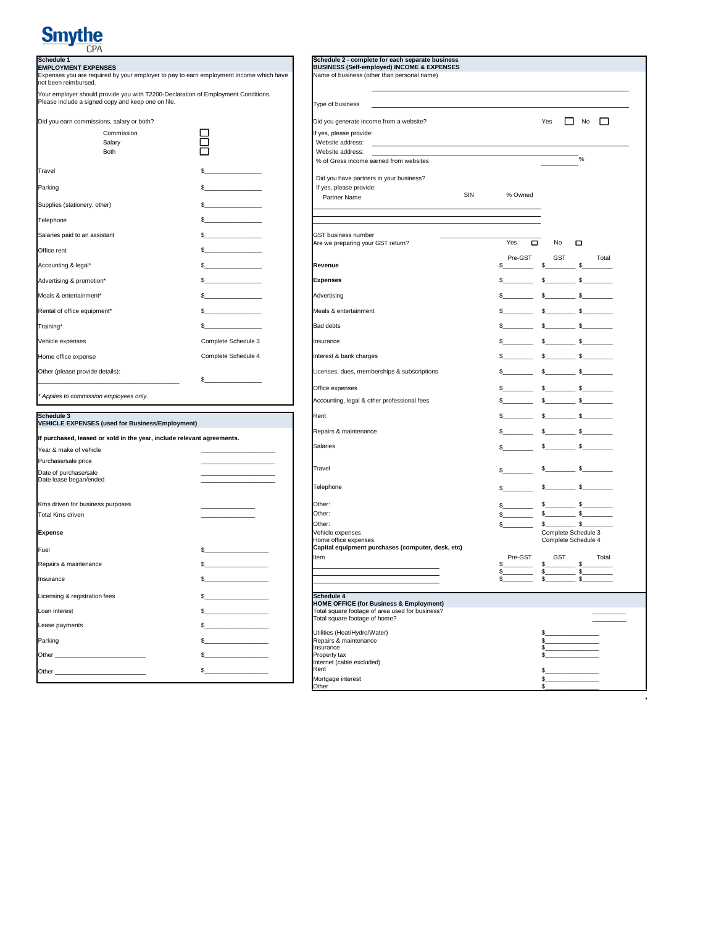# **Smythe**

| Schedule 1<br><b>EMPLOYMENT EXPENSES</b>                                                                                                | Schedule 2 - complete for each separate business<br><b>BUSINESS (Self-employed) INCOME &amp; EXPENSES</b> |                                             |     |                                                                                                                                                                                                                                |
|-----------------------------------------------------------------------------------------------------------------------------------------|-----------------------------------------------------------------------------------------------------------|---------------------------------------------|-----|--------------------------------------------------------------------------------------------------------------------------------------------------------------------------------------------------------------------------------|
| Expenses you are required by your employer to pay to earn employment income which have<br>not been reimbursed.                          |                                                                                                           | Name of business (other than personal name) |     |                                                                                                                                                                                                                                |
| Your employer should provide you with T2200-Declaration of Employment Conditions.<br>Please include a signed copy and keep one on file. |                                                                                                           | Type of business                            |     |                                                                                                                                                                                                                                |
| Did you earn commissions, salary or both?                                                                                               |                                                                                                           | Did you generate income from a website?     |     |                                                                                                                                                                                                                                |
| Commission                                                                                                                              |                                                                                                           | If yes, please provide:                     |     |                                                                                                                                                                                                                                |
| Salarv                                                                                                                                  |                                                                                                           | Website address:                            |     |                                                                                                                                                                                                                                |
| <b>Both</b>                                                                                                                             |                                                                                                           | Website address:                            |     |                                                                                                                                                                                                                                |
|                                                                                                                                         |                                                                                                           | % of Gross income earned from websites      |     |                                                                                                                                                                                                                                |
| Travel                                                                                                                                  |                                                                                                           | Did you have partners in your business?     |     |                                                                                                                                                                                                                                |
| Parking                                                                                                                                 | $\sim$                                                                                                    | If yes, please provide:                     |     |                                                                                                                                                                                                                                |
|                                                                                                                                         |                                                                                                           | Partner Name                                | SIN | % Owned                                                                                                                                                                                                                        |
| Supplies (stationery, other)                                                                                                            | $\sim$                                                                                                    |                                             |     |                                                                                                                                                                                                                                |
| Telephone                                                                                                                               | $\sim$                                                                                                    |                                             |     |                                                                                                                                                                                                                                |
| Salaries paid to an assistant                                                                                                           | $\sim$                                                                                                    | <b>GST business number</b>                  |     |                                                                                                                                                                                                                                |
| Office rent                                                                                                                             | $\frac{1}{2}$                                                                                             | Are we preparing your GST return?           |     | Yes<br>$\Box$                                                                                                                                                                                                                  |
| Accounting & legal*                                                                                                                     | $\sim$                                                                                                    | Revenue                                     |     | Pre-GST                                                                                                                                                                                                                        |
| Advertising & promotion*                                                                                                                | $\frac{1}{2}$                                                                                             | <b>Expenses</b>                             |     | s                                                                                                                                                                                                                              |
| Meals & entertainment*                                                                                                                  | $\frac{1}{2}$                                                                                             | Advertising                                 |     | s                                                                                                                                                                                                                              |
| Rental of office equipment*                                                                                                             | $\mathbb{S}$                                                                                              | Meals & entertainment                       |     | s                                                                                                                                                                                                                              |
| Training*                                                                                                                               |                                                                                                           | <b>Bad debts</b>                            |     | s                                                                                                                                                                                                                              |
| Vehicle expenses                                                                                                                        | Complete Schedule 3                                                                                       | Insurance                                   |     | s                                                                                                                                                                                                                              |
| Home office expense                                                                                                                     | Complete Schedule 4                                                                                       | Interest & bank charges                     |     | s                                                                                                                                                                                                                              |
| Other (please provide details):                                                                                                         |                                                                                                           | Licenses, dues, memberships & subscriptions |     | s and the state of the state of the state of the state of the state of the state of the state of the state of the state of the state of the state of the state of the state of the state of the state of the state of the stat |
|                                                                                                                                         |                                                                                                           | Office expenses                             |     | S                                                                                                                                                                                                                              |

| <b>ISCNEQUIE</b> 3<br>VEHICLE EXPENSES (used for Business/Employment)                                                                                                                                                         |                                                                                                                                                                                                                                                                                                                     | <b>I</b> Kent                                      |
|-------------------------------------------------------------------------------------------------------------------------------------------------------------------------------------------------------------------------------|---------------------------------------------------------------------------------------------------------------------------------------------------------------------------------------------------------------------------------------------------------------------------------------------------------------------|----------------------------------------------------|
| If purchased, leased or sold in the year, include relevant agreements.                                                                                                                                                        |                                                                                                                                                                                                                                                                                                                     | Repairs & maintenance                              |
|                                                                                                                                                                                                                               |                                                                                                                                                                                                                                                                                                                     | <b>Salaries</b>                                    |
| Year & make of vehicle                                                                                                                                                                                                        |                                                                                                                                                                                                                                                                                                                     |                                                    |
| Purchase/sale price                                                                                                                                                                                                           |                                                                                                                                                                                                                                                                                                                     |                                                    |
| Date of purchase/sale                                                                                                                                                                                                         |                                                                                                                                                                                                                                                                                                                     | Travel                                             |
| Date lease began/ended                                                                                                                                                                                                        |                                                                                                                                                                                                                                                                                                                     |                                                    |
|                                                                                                                                                                                                                               |                                                                                                                                                                                                                                                                                                                     | Telephone                                          |
| Kms driven for business purposes                                                                                                                                                                                              |                                                                                                                                                                                                                                                                                                                     | Other:                                             |
| Total Kms driven                                                                                                                                                                                                              |                                                                                                                                                                                                                                                                                                                     | Other:                                             |
|                                                                                                                                                                                                                               |                                                                                                                                                                                                                                                                                                                     | Other:                                             |
| Expense                                                                                                                                                                                                                       |                                                                                                                                                                                                                                                                                                                     | Vehicle expenses                                   |
|                                                                                                                                                                                                                               |                                                                                                                                                                                                                                                                                                                     | Home office expenses                               |
| Fuel                                                                                                                                                                                                                          | s                                                                                                                                                                                                                                                                                                                   | Capital equipment purchases (computer, desk, etc)  |
|                                                                                                                                                                                                                               |                                                                                                                                                                                                                                                                                                                     | Item                                               |
| Repairs & maintenance                                                                                                                                                                                                         | $\sim$                                                                                                                                                                                                                                                                                                              |                                                    |
| Insurance                                                                                                                                                                                                                     |                                                                                                                                                                                                                                                                                                                     |                                                    |
| Licensing & registration fees                                                                                                                                                                                                 |                                                                                                                                                                                                                                                                                                                     | Schedule 4                                         |
|                                                                                                                                                                                                                               |                                                                                                                                                                                                                                                                                                                     | <b>HOME OFFICE (for Business &amp; Employment)</b> |
| Loan interest                                                                                                                                                                                                                 |                                                                                                                                                                                                                                                                                                                     | Total square footage of area used for business?    |
| Lease payments                                                                                                                                                                                                                |                                                                                                                                                                                                                                                                                                                     | Total square footage of home?                      |
|                                                                                                                                                                                                                               |                                                                                                                                                                                                                                                                                                                     | Utilities (Heat/Hydro/Water)                       |
| Parking                                                                                                                                                                                                                       | $\frac{1}{2}$ $\frac{1}{2}$ $\frac{1}{2}$ $\frac{1}{2}$ $\frac{1}{2}$ $\frac{1}{2}$ $\frac{1}{2}$ $\frac{1}{2}$ $\frac{1}{2}$ $\frac{1}{2}$ $\frac{1}{2}$ $\frac{1}{2}$ $\frac{1}{2}$ $\frac{1}{2}$ $\frac{1}{2}$ $\frac{1}{2}$ $\frac{1}{2}$ $\frac{1}{2}$ $\frac{1}{2}$ $\frac{1}{2}$ $\frac{1}{2}$ $\frac{1}{2}$ | Repairs & maintenance                              |
|                                                                                                                                                                                                                               |                                                                                                                                                                                                                                                                                                                     | Insurance                                          |
| Other and the contract of the contract of the contract of the contract of the contract of the contract of the contract of the contract of the contract of the contract of the contract of the contract of the contract of the |                                                                                                                                                                                                                                                                                                                     | Property tax                                       |
|                                                                                                                                                                                                                               |                                                                                                                                                                                                                                                                                                                     | Internet (cable excluded)<br>Rent                  |
| Other <b>Commission</b>                                                                                                                                                                                                       | \$                                                                                                                                                                                                                                                                                                                  | Mortgogo interest                                  |
|                                                                                                                                                                                                                               |                                                                                                                                                                                                                                                                                                                     |                                                    |

| CP/1<br>Schedule 1<br>EMPLOYMENT EXPENSES<br>Expenses you are required by your employer to pay to earn employment income which have<br>not been reimbursed.<br>Your employer should provide you with T2200-Declaration of Employment Con                                           |  |
|------------------------------------------------------------------------------------------------------------------------------------------------------------------------------------------------------------------------------------------------------------------------------------|--|
|                                                                                                                                                                                                                                                                                    |  |
| Yes $\Box$ No $\Box$                                                                                                                                                                                                                                                               |  |
|                                                                                                                                                                                                                                                                                    |  |
| <u> 1989 - Johann Stein, mars ar breithinn ar chuid ann an t-</u>                                                                                                                                                                                                                  |  |
|                                                                                                                                                                                                                                                                                    |  |
| $\sim$<br>Parking<br>Supplies (stationery, other)<br>Telephone<br>Salaries paid to an assistant<br>Office rent<br>Accounting & legal*<br>Advertising & promotion*<br>Meals & entertainment*<br>Rental of office equipment*<br>Training*<br>Vehicle expenses<br><br>SIN % Owned     |  |
|                                                                                                                                                                                                                                                                                    |  |
|                                                                                                                                                                                                                                                                                    |  |
|                                                                                                                                                                                                                                                                                    |  |
|                                                                                                                                                                                                                                                                                    |  |
|                                                                                                                                                                                                                                                                                    |  |
|                                                                                                                                                                                                                                                                                    |  |
| Advertising<br>Meals & entertainment<br>Red debte                                                                                                                                                                                                                                  |  |
|                                                                                                                                                                                                                                                                                    |  |
| Complete Schedule 3<br>Complete Schedule 4                                                                                                                                                                                                                                         |  |
|                                                                                                                                                                                                                                                                                    |  |
| Other (please provide details):<br>*Applies to commission employees only.<br>*Applies to commission employees only.<br>Schedule 3<br>*CHICLE EXPENSES (used for Business/Employment)<br>*HICLE EXPENSES (used for Business/Employment)<br>                                         |  |
|                                                                                                                                                                                                                                                                                    |  |
|                                                                                                                                                                                                                                                                                    |  |
|                                                                                                                                                                                                                                                                                    |  |
|                                                                                                                                                                                                                                                                                    |  |
| $s \longrightarrow s$                                                                                                                                                                                                                                                              |  |
| K<br>ms driven for business purposes<br>Total Kms driven                                                                                                                                                                                                                           |  |
|                                                                                                                                                                                                                                                                                    |  |
|                                                                                                                                                                                                                                                                                    |  |
| Capital equipment purchases (computer, desk, e                                                                                                                                                                                                                                     |  |
|                                                                                                                                                                                                                                                                                    |  |
| Licensing & registration fees<br>Loan interest<br>Loan interest<br>Loan interest<br>Ease payments<br>Parking<br>Other<br>Other<br>Other<br>Cher<br>Cher<br>Cher<br>Cher<br>Cher<br>Cher<br>Cher<br>S<br>Cher<br>Cher<br>Cher<br>Cher<br>Cher<br>Cher<br>Cher<br>Cher<br>Cher<br>Ch |  |
|                                                                                                                                                                                                                                                                                    |  |
|                                                                                                                                                                                                                                                                                    |  |
|                                                                                                                                                                                                                                                                                    |  |
| $\begin{array}{c c}\n s \\  \hline\n s\n \end{array}$                                                                                                                                                                                                                              |  |
|                                                                                                                                                                                                                                                                                    |  |